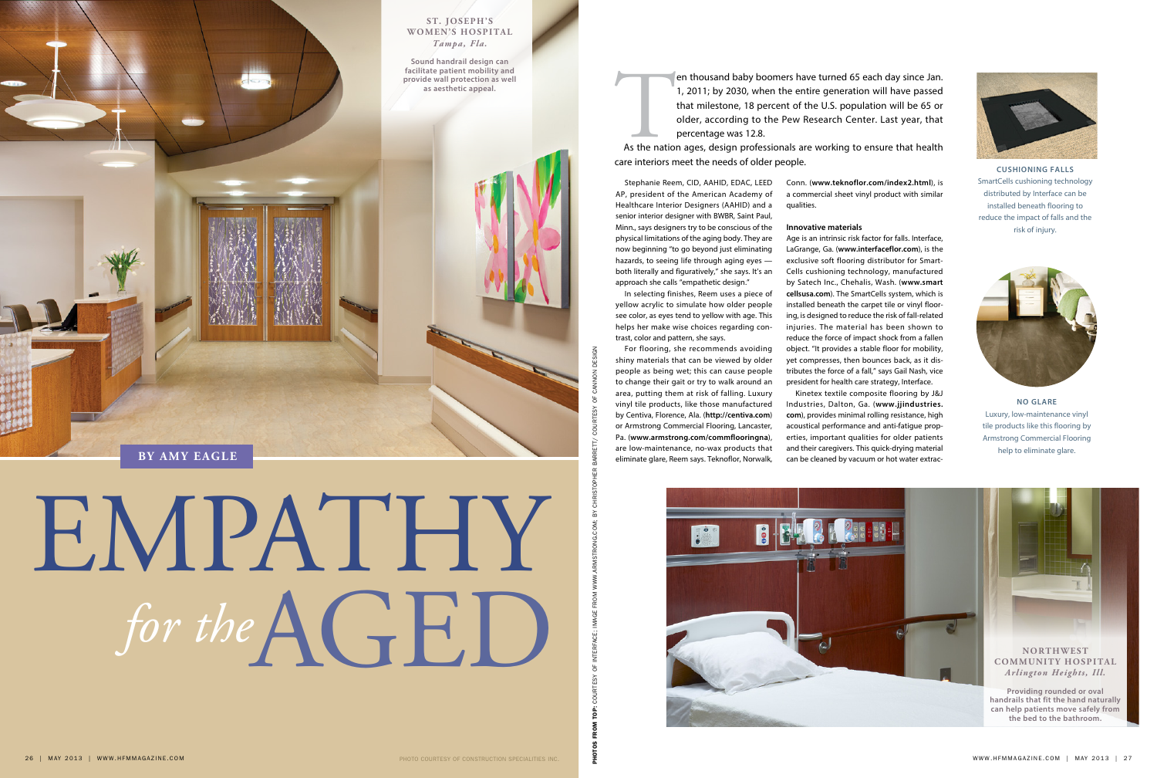photos FROM TOP: courtesy of interface; image from www.armstrong.com; by Christopher Barrett/ courtesy of cannon design

ိ

Stephanie Reem, CID, AAHID, EDAC, LEED AP, president of the American Academy of Healthcare Interior Designers (AAHID) and a senior interior designer with BWBR, Saint Paul, Minn., says designers try to be conscious of the physical limitations of the aging body. They are now beginning "to go beyond just eliminating hazards, to seeing life through aging eyes both literally and figuratively," she says. It's an approach she calls "empathetic design."

In selecting finishes, Reem uses a piece of yellow acrylic to simulate how older people see color, as eyes tend to yellow with age. This helps her make wise choices regarding contrast, color and pattern, she says.

For flooring, she recommends avoiding shiny materials that can be viewed by older people as being wet; this can cause people to change their gait or try to walk around an area, putting them at risk of falling. Luxury vinyl tile products, like those manufactured by Centiva, Florence, Ala. (**http://centiva.com**) or Armstrong Commercial Flooring, Lancaster, Pa. (**www.armstrong.com/commflooringna**), are low-maintenance, no-wax products that eliminate glare, Reem says. Teknoflor, Norwalk,

Conn. (**www.teknoflor.com/index2.html**), is a commercial sheet vinyl product with similar qualities.

## **Innovative materials**

Faste patient mobility and<br>de wall protection as well<br>as aesthetic appeal.<br>1, 2011; by 2030, when the entire generation will have passed<br>that milestone, 18 percent of the U.S. population will be 65 or<br>older, according to t 1, 2011; by 2030, when the entire generation will have passed that milestone, 18 percent of the U.S. population will be 65 or older, according to the Pew Research Center. Last year, that percentage was 12.8.

> Age is an intrinsic risk factor for falls. Interface, LaGrange, Ga. (**www.interfaceflor.com**), is the exclusive soft flooring distributor for Smart-Cells cushioning technology, manufactured by Satech Inc., Chehalis, Wash. (**www.smart cellsusa.com**). The SmartCells system, which is installed beneath the carpet tile or vinyl flooring, is designed to reduce the risk of fall-related injuries. The material has been shown to reduce the force of impact shock from a fallen object. "It provides a stable floor for mobility, yet compresses, then bounces back, as it distributes the force of a fall," says Gail Nash, vice president for health care strategy, Interface.

> Kinetex textile composite flooring by J&J Industries, Dalton, Ga. (**www.jjindustries. com**), provides minimal rolling resistance, high acoustical performance and anti-fatigue properties, important qualities for older patients and their caregivers. This quick-drying material can be cleaned by vacuum or hot water extrac-



**no glare** Luxury, low-maintenance vinyl tile products like this flooring by Armstrong Commercial Flooring help to eliminate glare.



**cushioning falls** SmartCells cushioning technology distributed by Interface can be installed beneath flooring to reduce the impact of falls and the risk of injury.



## EMPATHY  $for$  the  $A$  $F$  $D$

As the nation ages, design professionals are working to ensure that health care interiors meet the needs of older people.